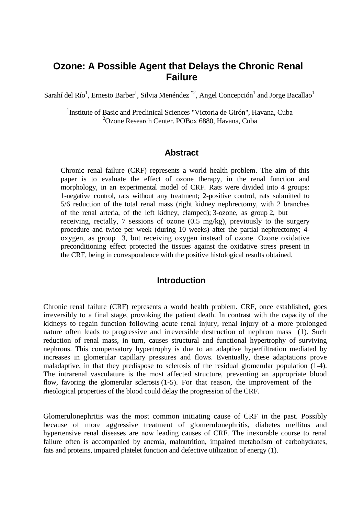# **Ozone: A Possible Agent that Delays the Chronic Renal Failure**

Sarahí del Río<sup>1</sup>, Ernesto Barber<sup>1</sup>, Silvia Menéndez<sup>\*2</sup>, Angel Concepción<sup>1</sup> and Jorge Bacallao<sup>1</sup>

<sup>1</sup>Institute of Basic and Preclinical Sciences "Victoria de Girón", Havana, Cuba 2 Ozone Research Center. POBox 6880, Havana, Cuba

#### **Abstract**

Chronic renal failure (CRF) represents a world health problem. The aim of this paper is to evaluate the effect of ozone therapy, in the renal function and morphology, in an experimental model of CRF. Rats were divided into 4 groups: 1-negative control, rats without any treatment; 2-positive control, rats submitted to 5/6 reduction of the total renal mass (right kidney nephrectomy, with 2 branches of the renal arteria, of the left kidney, clamped); 3-ozone, as group 2, but receiving, rectally, 7 sessions of ozone (0.5 mg/kg), previously to the surgery procedure and twice per week (during 10 weeks) after the partial nephrectomy; 4 oxygen, as group 3, but receiving oxygen instead of ozone. Ozone oxidative preconditioning effect protected the tissues against the oxidative stress present in the CRF, being in correspondence with the positive histological results obtained.

## **Introduction**

Chronic renal failure (CRF) represents a world health problem. CRF, once established, goes irreversibly to a final stage, provoking the patient death. In contrast with the capacity of the kidneys to regain function following acute renal injury, renal injury of a more prolonged nature often leads to progressive and irreversible destruction of nephron mass (1). Such reduction of renal mass, in turn, causes structural and functional hypertrophy of surviving nephrons. This compensatory hypertrophy is due to an adaptive hyperfiltration mediated by increases in glomerular capillary pressures and flows. Eventually, these adaptations prove maladaptive, in that they predispose to sclerosis of the residual glomerular population (1-4). The intrarenal vasculature is the most affected structure, preventing an appropriate blood flow, favoring the glomerular sclerosis (1-5). For that reason, the improvement of the rheological properties of the blood could delay the progression of the CRF.

Glomerulonephritis was the most common initiating cause of CRF in the past. Possibly because of more aggressive treatment of glomerulonephritis, diabetes mellitus and hypertensive renal diseases are now leading causes of CRF. The inexorable course to renal failure often is accompanied by anemia, malnutrition, impaired metabolism of carbohydrates, fats and proteins, impaired platelet function and defective utilization of energy (1).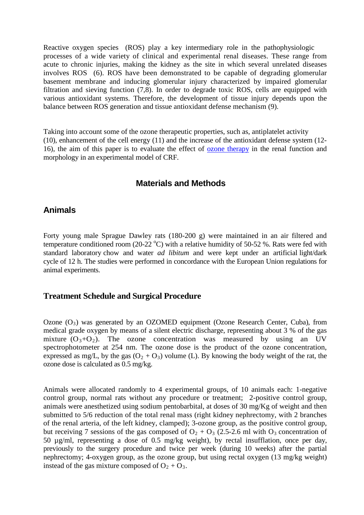Reactive oxygen species (ROS) play a key intermediary role in the pathophysiologic processes of a wide variety of clinical and experimental renal diseases. These range from acute to chronic injuries, making the kidney as the site in which several unrelated diseases involves ROS (6). ROS have been demonstrated to be capable of degrading glomerular basement membrane and inducing glomerular injury characterized by impaired glomerular filtration and sieving function (7,8). In order to degrade toxic ROS, cells are equipped with various antioxidant systems. Therefore, the development of tissue injury depends upon the balance between ROS generation and tissue antioxidant defense mechanism (9).

Taking into account some of the ozone therapeutic properties, such as, antiplatelet activity (10), enhancement of the cell energy (11) and the increase of the antioxidant defense system (12- 16), the aim of this paper is to evaluate the effect of [ozone therapy](http://www.austinozone.com/) in the renal function and morphology in an experimental model of CRF.

## **Materials and Methods**

#### **Animals**

Forty young male Sprague Dawley rats (180-200 g) were maintained in an air filtered and temperature conditioned room (20-22  $^{\circ}$ C) with a relative humidity of 50-52 %. Rats were fed with standard laboratory chow and water *ad libitum* and were kept under an artificial light/dark cycle of 12 h. The studies were performed in concordance with the European Union regulations for animal experiments.

#### **Treatment Schedule and Surgical Procedure**

Ozone  $(O_3)$  was generated by an OZOMED equipment (Ozone Research Center, Cuba), from medical grade oxygen by means of a silent electric discharge, representing about 3 % of the gas mixture  $(O_3+O_2)$ . The ozone concentration was measured by using an UV spectrophotometer at 254 nm. The ozone dose is the product of the ozone concentration, expressed as mg/L, by the gas  $(O_2 + O_3)$  volume (L). By knowing the body weight of the rat, the ozone dose is calculated as 0.5 mg/kg.

Animals were allocated randomly to 4 experimental groups, of 10 animals each: 1-negative control group, normal rats without any procedure or treatment; 2-positive control group, animals were anesthetized using sodium pentobarbital, at doses of 30 mg/Kg of weight and then submitted to 5/6 reduction of the total renal mass (right kidney nephrectomy, with 2 branches of the renal arteria, of the left kidney, clamped); 3-ozone group, as the positive control group, but receiving 7 sessions of the gas composed of  $O_2 + O_3$  (2.5-2.6 ml with  $O_3$  concentration of 50 µg/ml, representing a dose of 0.5 mg/kg weight), by rectal insufflation, once per day, previously to the surgery procedure and twice per week (during 10 weeks) after the partial nephrectomy; 4-oxygen group, as the ozone group, but using rectal oxygen (13 mg/kg weight) instead of the gas mixture composed of  $O_2 + O_3$ .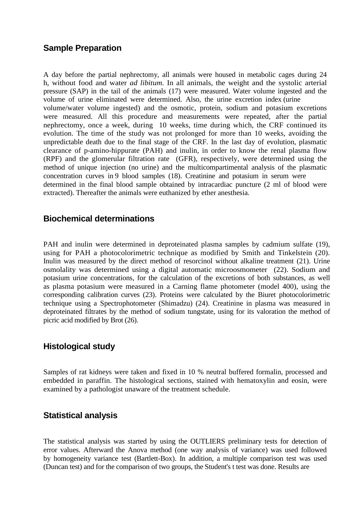## **Sample Preparation**

A day before the partial nephrectomy, all animals were housed in metabolic cages during 24 h, without food and water *ad libitum*. In all animals, the weight and the systolic arterial pressure (SAP) in the tail of the animals (17) were measured. Water volume ingested and the volume of urine eliminated were determined. Also, the urine excretion index (urine volume/water volume ingested) and the osmotic, protein, sodium and potasium excretions were measured. All this procedure and measurements were repeated, after the partial nephrectomy, once a week, during 10 weeks, time during which, the CRF continued its evolution. The time of the study was not prolonged for more than 10 weeks, avoiding the unpredictable death due to the final stage of the CRF. In the last day of evolution, plasmatic clearance of p-amino-hippurate (PAH) and inulin, in order to know the renal plasma flow (RPF) and the glomerular filtration rate (GFR), respectively, were determined using the method of unique injection (no urine) and the multicompartimental analysis of the plasmatic concentration curves in 9 blood samples (18). Creatinine and potasium in serum were determined in the final blood sample obtained by intracardiac puncture (2 ml of blood were extracted). Thereafter the animals were euthanized by ether anesthesia.

## **Biochemical determinations**

PAH and inulin were determined in deproteinated plasma samples by cadmium sulfate (19), using for PAH a photocolorimetric technique as modified by Smith and Tinkelstein (20). Inulin was measured by the direct method of resorcinol without alkaline treatment (21). Urine osmolality was determined using a digital automatic microosmometer (22). Sodium and potasium urine concentrations, for the calculation of the excretions of both substances, as well as plasma potasium were measured in a Carning flame photometer (model 400), using the corresponding calibration curves (23). Proteins were calculated by the Biuret photocolorimetric technique using a Spectrophotometer (Shimadzu) (24). Creatinine in plasma was measured in deproteinated filtrates by the method of sodium tungstate, using for its valoration the method of picric acid modified by Brot (26).

## **Histological study**

Samples of rat kidneys were taken and fixed in 10 % neutral buffered formalin, processed and embedded in paraffin. The histological sections, stained with hematoxylin and eosin, were examined by a pathologist unaware of the treatment schedule.

## **Statistical analysis**

The statistical analysis was started by using the OUTLIERS preliminary tests for detection of error values. Afterward the Anova method (one way analysis of variance) was used followed by homogeneity variance test (Bartlett-Box). In addition, a multiple comparison test was used (Duncan test) and for the comparison of two groups, the Student's t test was done. Results are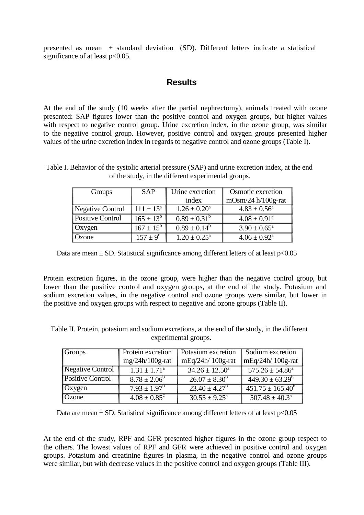presented as mean  $\pm$  standard deviation (SD). Different letters indicate a statistical significance of at least  $p<0.05$ .

## **Results**

At the end of the study (10 weeks after the partial nephrectomy), animals treated with ozone presented: SAP figures lower than the positive control and oxygen groups, but higher values with respect to negative control group. Urine excretion index, in the ozone group, was similar to the negative control group. However, positive control and oxygen groups presented higher values of the urine excretion index in regards to negative control and ozone groups (Table I).

Table I. Behavior of the systolic arterial pressure (SAP) and urine excretion index, at the end of the study, in the different experimental groups.

| Groups           | <b>SAP</b>       | Urine excretion         | Osmotic excretion       |  |
|------------------|------------------|-------------------------|-------------------------|--|
|                  |                  | index                   | $mOsm/24 h/100g-rat$    |  |
| Negative Control | $111 \pm 13^a$   | $1.26 \pm 0.20^a$       | $4.83 \pm 0.56^{\circ}$ |  |
| Positive Control | $165 \pm 13^b$   | $0.89 \pm 0.31^b$       | $4.08 \pm 0.91^a$       |  |
| Oxygen           | $167 \pm 15^{b}$ | $0.89 \pm 0.14^b$       | $3.90 \pm 0.65^{\circ}$ |  |
| Ozone            | $157 + 9^c$      | $1.20 \pm 0.25^{\circ}$ | $4.06 \pm 0.92^{\rm a}$ |  |

Data are mean  $\pm$  SD. Statistical significance among different letters of at least  $p$  < 0.05

Protein excretion figures, in the ozone group, were higher than the negative control group, but lower than the positive control and oxygen groups, at the end of the study. Potasium and sodium excretion values, in the negative control and ozone groups were similar, but lower in the positive and oxygen groups with respect to negative and ozone groups (Table II).

Table II. Protein, potasium and sodium excretions, at the end of the study, in the different experimental groups.

| <b>Groups</b>    | <b>Protein excretion</b>     | <b>Potasium excretion</b>           | Sodium excretion                |  |
|------------------|------------------------------|-------------------------------------|---------------------------------|--|
|                  | $mg/24h/100g$ -rat           | $mEq/24h/100g-rat$                  | mEq/24h/ 100g-rat               |  |
| Negative Control | $1.31 \pm 1.71^a$            | $34.26 \pm 12.50^a$                 | $\overline{575.26 \pm 54.86^a}$ |  |
| Positive Control | $8.78 \pm 2.06^b$            | $26.07 \pm 8.30^b$                  | $449.30 \pm 63.29^b$            |  |
| Oxygen           | $7.93 \pm 1.97^b$            | $23.40 \pm 4.27^b$                  | $451.75 \pm 165.40^b$           |  |
| <b>Ozone</b>     | $4.08 \pm 0.85$ <sup>c</sup> | $\overline{30.55 \pm 9.25^{\circ}}$ | $507.48 \pm 40.3^{\circ}$       |  |

Data are mean  $\pm$  SD. Statistical significance among different letters of at least  $p$  < 0.05

At the end of the study, RPF and GFR presented higher figures in the ozone group respect to the others. The lowest values of RPF and GFR were achieved in positive control and oxygen groups. Potasium and creatinine figures in plasma, in the negative control and ozone groups were similar, but with decrease values in the positive control and oxygen groups (Table III).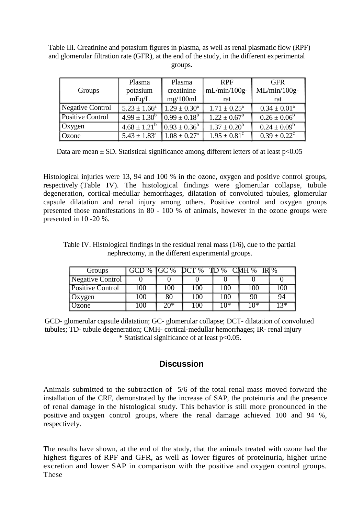Table III. Creatinine and potasium figures in plasma, as well as renal plasmatic flow (RPF) and glomerular filtration rate (GFR), at the end of the study, in the different experimental groups.

|                         | Plasma                                                    | Plasma            | <b>RPF</b>              | <b>GFR</b>        |  |
|-------------------------|-----------------------------------------------------------|-------------------|-------------------------|-------------------|--|
| Groups                  | potasium                                                  | creatinine        | $mL/min/100g-$          | $ML/min/100g-$    |  |
|                         | mEq/L                                                     | mg/100ml<br>rat   |                         | rat               |  |
| Negative Control        | $5.23 \pm 1.66^a$                                         | $1.29 \pm 0.30^a$ | $1.71 \pm 0.25^{\rm a}$ | $0.34 \pm 0.01^a$ |  |
| <b>Positive Control</b> | $4.99 \pm 1.30^b$ $0.99 \pm 0.18^b$                       |                   | $1.22 \pm 0.67^b$       | $0.26 \pm 0.06^b$ |  |
| Oxygen                  | $4.68 \pm 1.21^{\circ}$ $(0.93 \pm 0.36^{\circ})$         |                   | $1.37 \pm 0.20^b$       | $0.24 \pm 0.09^b$ |  |
| Ozone                   | $5.43 \pm 1.83$ <sup>a</sup> $1.08 \pm 0.27$ <sup>a</sup> |                   | $1.95 \pm 0.81^c$       | $0.39 \pm 0.22^c$ |  |

Data are mean  $\pm$  SD. Statistical significance among different letters of at least p<0.05

Histological injuries were 13, 94 and 100 % in the ozone, oxygen and positive control groups, respectively (Table IV). The histological findings were glomerular collapse, tubule degeneration, cortical-medullar hemorrhages, dilatation of convoluted tubules, glomerular capsule dilatation and renal injury among others. Positive control and oxygen groups presented those manifestations in 80 - 100 % of animals, however in the ozone groups were presented in 10 -20 %.

Table IV. Histological findings in the residual renal mass (1/6), due to the partial nephrectomy, in the different experimental groups.

| Groups                  | GCD% | $\overline{GC\%}$ | DCT% | $TD\%$ | CMH% | $IR\%$ |
|-------------------------|------|-------------------|------|--------|------|--------|
| Negative Control        |      |                   |      |        |      |        |
| <b>Positive Control</b> | l 00 | 100               | 100  | 100    | 100  | 100    |
| Oxygen                  | 100  | 80                | 100  | 100    | 90   | 94     |
| Jzone                   | 100  | 20*               | LOO  | $10*$  | ึ∩∗  | 13*    |

GCD- glomerular capsule dilatation; GC- glomerular collapse; DCT- dilatation of convoluted tubules; TD- tubule degeneration; CMH- cortical-medullar hemorrhages; IR- renal injury \* Statistical significance of at least p<0.05.

# **Discussion**

Animals submitted to the subtraction of 5/6 of the total renal mass moved forward the installation of the CRF, demonstrated by the increase of SAP, the proteinuria and the presence of renal damage in the histological study. This behavior is still more pronounced in the positive and oxygen control groups, where the renal damage achieved 100 and 94 %, respectively.

The results have shown, at the end of the study, that the animals treated with ozone had the highest figures of RPF and GFR, as well as lower figures of proteinuria, higher urine excretion and lower SAP in comparison with the positive and oxygen control groups. These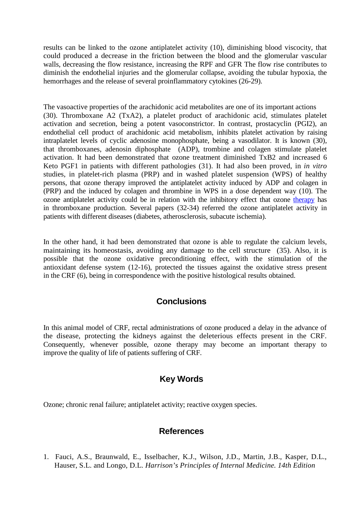results can be linked to the ozone antiplatelet activity (10), diminishing blood viscocity, that could produced a decrease in the friction between the blood and the glomerular vascular walls, decreasing the flow resistance, increasing the RPF and GFR The flow rise contributes to diminish the endothelial injuries and the glomerular collapse, avoiding the tubular hypoxia, the hemorrhages and the release of several proinflammatory cytokines (26-29).

The vasoactive properties of the arachidonic acid metabolites are one of its important actions (30). Thromboxane A2 (TxA2), a platelet product of arachidonic acid, stimulates platelet activation and secretion, being a potent vasoconstrictor. In contrast, prostacyclin (PGI2), an endothelial cell product of arachidonic acid metabolism, inhibits platelet activation by raising intraplatelet levels of cyclic adenosine monophosphate, being a vasodilator. It is known (30), that thromboxanes, adenosin diphosphate (ADP), trombine and colagen stimulate platelet activation. It had been demonstrated that ozone treatment diminished TxB2 and increased 6 Keto PGF1 in patients with different pathologies (31). It had also been proved, in *in vitro*  studies, in platelet-rich plasma (PRP) and in washed platelet suspension (WPS) of healthy persons, that ozone therapy improved the antiplatelet activity induced by ADP and colagen in (PRP) and the induced by colagen and thrombine in WPS in a dose dependent way (10). The ozone antiplatelet activity could be in relation with the inhibitory effect that ozone [therapy](http://www.ozonemachine.org/) has in thromboxane production. Several papers (32-34) referred the ozone antiplatelet activity in patients with different diseases (diabetes, atherosclerosis, subacute ischemia).

In the other hand, it had been demonstrated that ozone is able to regulate the calcium levels, maintaining its homeostasis, avoiding any damage to the cell structure (35). Also, it is possible that the ozone oxidative preconditioning effect, with the stimulation of the antioxidant defense system (12-16), protected the tissues against the oxidative stress present in the CRF (6), being in correspondence with the positive histological results obtained.

## **Conclusions**

In this animal model of CRF, rectal administrations of ozone produced a delay in the advance of the disease, protecting the kidneys against the deleterious effects present in the CRF. Consequently, whenever possible, ozone therapy may become an important therapy to improve the quality of life of patients suffering of CRF.

## **Key Words**

Ozone; chronic renal failure; antiplatelet activity; reactive oxygen species.

## **References**

1. Fauci, A.S., Braunwald, E., Isselbacher, K.J., Wilson, J.D., Martin, J.B., Kasper, D.L., Hauser, S.L. and Longo, D.L. *Harrison's Principles of Internal Medicine. 14th Edition*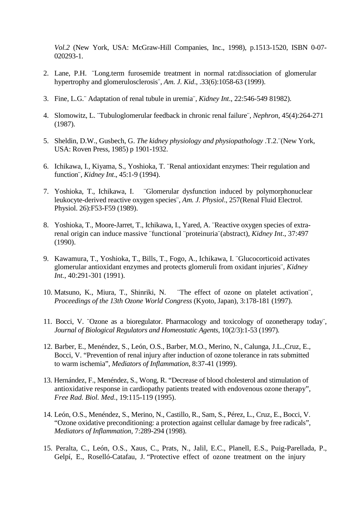*Vol.2* (New York, USA: McGraw-Hill Companies, Inc., 1998), p.1513-1520, ISBN 0-07- 020293-1.

- 2. Lane, P.H. ¨Long.term furosemide treatment in normal rat:dissociation of glomerular hypertrophy and glomerulosclerosis¨, *Am. J. Kid*., .33(6):1058-63 (1999).
- 3. Fine, L.G.¨ Adaptation of renal tubule in uremia¨, *Kidney Int*., 22:546-549 81982).
- 4. Slomowitz, L. ¨Tubuloglomerular feedback in chronic renal failure¨, *Nephron*, 45(4):264-271 (1987).
- 5. Sheldin, D.W., Gusbech, G. *The kidney physiology and physiopathology* .T.2.¨(New York, USA: Roven Press, 1985) p 1901-1932.
- 6. Ichikawa, I., Kiyama, S., Yoshioka, T. ¨Renal antioxidant enzymes: Their regulation and function¨, *Kidney Int*., 45:1-9 (1994).
- 7. Yoshioka, T., Ichikawa, I. ¨Glomerular dysfunction induced by polymorphonuclear leukocyte-derived reactive oxygen species¨, *Am. J. Physiol*., 257(Renal Fluid Electrol. Physiol. 26):F53-F59 (1989).
- 8. Yoshioka, T., Moore-Jarret, T., Ichikawa, I., Yared, A. ¨Reactive oxygen species of extrarenal origin can induce massive ¨functional ¨proteinuria¨(abstract), *Kidney Int*., 37:497 (1990).
- 9. Kawamura, T., Yoshioka, T., Bills, T., Fogo, A., Ichikawa, I. ¨Glucocorticoid activates glomerular antioxidant enzymes and protects glomeruli from oxidant injuries¨, *Kidney Int.*, 40:291-301 (1991).
- 10. Matsuno, K., Miura, T., Shinriki, N. ¨The effect of ozone on platelet activation¨, *Proceedings of the 13th Ozone World Congress* (Kyoto, Japan), 3:178-181 (1997).
- 11. Bocci, V. ¨Ozone as a bioregulator. Pharmacology and toxicology of ozonetherapy today¨, *Journal of Biological Regulators and Homeostatic Agents*, 10(2/3):1-53 (1997).
- 12. Barber, E., Menéndez, S., León, O.S., Barber, M.O., Merino, N., Calunga, J.L.,Cruz, E., Bocci, V. "Prevention of renal injury after induction of ozone tolerance in rats submitted to warm ischemia", *Mediators of Inflammation*, 8:37-41 (1999).
- 13. Hernández, F., Menéndez, S., Wong, R. "Decrease of blood cholesterol and stimulation of antioxidative response in cardiopathy patients treated with endovenous ozone therapy", *Free Rad. Biol. Med*., 19:115-119 (1995).
- 14. León, O.S., Menéndez, S., Merino, N., Castillo, R., Sam, S., Pérez, L., Cruz, E., Bocci, V. "Ozone oxidative preconditioning: a protection against cellular damage by free radicals", *Mediators of Inflammation*, 7:289-294 (1998).
- 15. Peralta, C., León, O.S., Xaus, C., Prats, N., Jalil, E.C., Planell, E.S., Puig-Parellada, P., Gelpí, E., Roselló-Catafau, J. "Protective effect of ozone treatment on the injury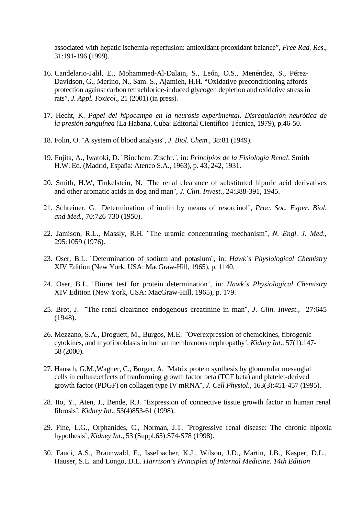associated with hepatic ischemia-reperfusion: antioxidant-prooxidant balance", *Free Rad. Res*., 31:191-196 (1999).

- 16. Candelario-Jalil, E., Mohammed-Al-Dalain, S., León, O.S., Menéndez, S., Pérez-Davidson, G., Merino, N., Sam. S., Ajamieh, H.H. "Oxidative preconditioning affords protection against carbon tetrachloride-induced glycogen depletion and oxidative stress in rats", *J. Appl. Toxicol*., 21 (2001) (in press).
- 17. Hecht, K. *Papel del hipocampo en la neurosis experimental. Disregulación neurótica de la presión sanguínea* (La Habana, Cuba: Editorial Científico-Técnica, 1979), p.46-50.
- 18. Folin, O. ¨A system of blood analysis¨, *J. Biol. Chem*., 38:81 (1949).
- 19. Fujita, A., Iwatoki, D. ¨Biochem. Ztschr.¨, in: *Principios de la Fisiología Renal*. Smith H.W. Ed. (Madrid, España: Ateneo S.A., 1963), p. 43, 242, 1931.
- 20. Smith, H.W, Tinkelstein, N. ¨The renal clearance of substituted hipuric acid derivatives and other aromatic acids in dog and man¨, *J. Clin. Invest*., 24:388-391, 1945.
- 21. Schreiner, G. ¨Determination of inulin by means of resorcinol¨, *Proc. Soc. Exper. Biol. and Med.*, 70:726-730 (1950).
- 22. Jamison, R.L., Massly, R.H. ¨The uramic concentrating mechanism¨, *N. Engl. J. Med*., 295:1059 (1976).
- 23. Oser, B.L. ¨Determination of sodium and potasium¨, in: *Hawk´s Physiological Chemistry*  XIV Edition (New York, USA: MacGraw-Hill, 1965), p. 1140.
- 24. Oser, B.L. ¨Biuret test for protein determination¨, in: *Hawk´s Physiological Chemistry*  XIV Edition (New York, USA: MacGraw-Hill, 1965), p. 179.
- 25. Brot, J. ¨The renal clearance endogenous creatinine in man¨, *J. Clin. Invest*., 27:645 (1948).
- 26. Mezzano, S.A., Droguett, M., Burgos, M.E. ¨Overexpression of chemokines, fibrogenic cytokines, and myofibroblasts in human membranous nephropathy¨, *Kidney Int*., 57(1):147- 58 (2000).
- 27. Hansch, G.M.,Wagner, C., Burger, A. ¨Matrix protein synthesis by glomerular mesangial cells in culture:effects of tranforming growth factor beta (TGF beta) and platelet-derived growth factor (PDGF) on collagen type IV mRNA¨, *J. Cell Physiol*., 163(3):451-457 (1995).
- 28. Ito, Y., Aten, J., Bende, R.J. ¨Expression of connective tissue growth factor in human renal fibrosis¨, *Kidney Int*., 53(4)853-61 (1998).
- 29. Fine, L.G., Orphanides, C., Norman, J.T. ¨Progressive renal disease: The chronic hipoxia hypothesis¨, *Kidney Int*., 53 (Suppl.65):S74-S78 (1998).
- 30. Fauci, A.S., Braunwald, E., Isselbacher, K.J., Wilson, J.D., Martin, J.B., Kasper, D.L., Hauser, S.L. and Longo, D.L. *Harrison's Principles of Internal Medicine. 14th Edition*